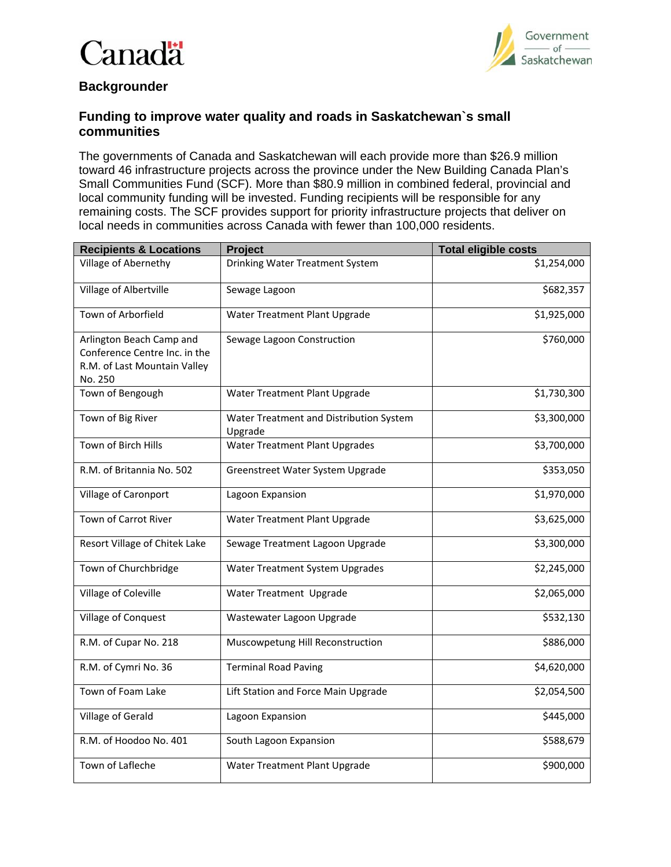## Ï `anadä



## **Backgrounder**

## **Funding to improve water quality and roads in Saskatchewan`s small communities**

The governments of Canada and Saskatchewan will each provide more than \$26.9 million toward 46 infrastructure projects across the province under the New Building Canada Plan's Small Communities Fund (SCF). More than \$80.9 million in combined federal, provincial and local community funding will be invested. Funding recipients will be responsible for any remaining costs. The SCF provides support for priority infrastructure projects that deliver on local needs in communities across Canada with fewer than 100,000 residents.

| <b>Recipients &amp; Locations</b>                                                                    | Project                                            | <b>Total eligible costs</b> |
|------------------------------------------------------------------------------------------------------|----------------------------------------------------|-----------------------------|
| Village of Abernethy                                                                                 | Drinking Water Treatment System                    | \$1,254,000                 |
| Village of Albertville                                                                               | Sewage Lagoon                                      | \$682,357                   |
| Town of Arborfield                                                                                   | Water Treatment Plant Upgrade                      | \$1,925,000                 |
| Arlington Beach Camp and<br>Conference Centre Inc. in the<br>R.M. of Last Mountain Valley<br>No. 250 | Sewage Lagoon Construction                         | \$760,000                   |
| Town of Bengough                                                                                     | Water Treatment Plant Upgrade                      | \$1,730,300                 |
| Town of Big River                                                                                    | Water Treatment and Distribution System<br>Upgrade | \$3,300,000                 |
| Town of Birch Hills                                                                                  | Water Treatment Plant Upgrades                     | \$3,700,000                 |
| R.M. of Britannia No. 502                                                                            | Greenstreet Water System Upgrade                   | \$353,050                   |
| Village of Caronport                                                                                 | Lagoon Expansion                                   | \$1,970,000                 |
| Town of Carrot River                                                                                 | Water Treatment Plant Upgrade                      | \$3,625,000                 |
| Resort Village of Chitek Lake                                                                        | Sewage Treatment Lagoon Upgrade                    | \$3,300,000                 |
| Town of Churchbridge                                                                                 | Water Treatment System Upgrades                    | \$2,245,000                 |
| Village of Coleville                                                                                 | Water Treatment Upgrade                            | \$2,065,000                 |
| Village of Conquest                                                                                  | Wastewater Lagoon Upgrade                          | \$532,130                   |
| R.M. of Cupar No. 218                                                                                | Muscowpetung Hill Reconstruction                   | \$886,000                   |
| R.M. of Cymri No. 36                                                                                 | <b>Terminal Road Paving</b>                        | \$4,620,000                 |
| Town of Foam Lake                                                                                    | Lift Station and Force Main Upgrade                | \$2,054,500                 |
| Village of Gerald                                                                                    | Lagoon Expansion                                   | \$445,000                   |
| R.M. of Hoodoo No. 401                                                                               | South Lagoon Expansion                             | \$588,679                   |
| Town of Lafleche                                                                                     | Water Treatment Plant Upgrade                      | \$900,000                   |